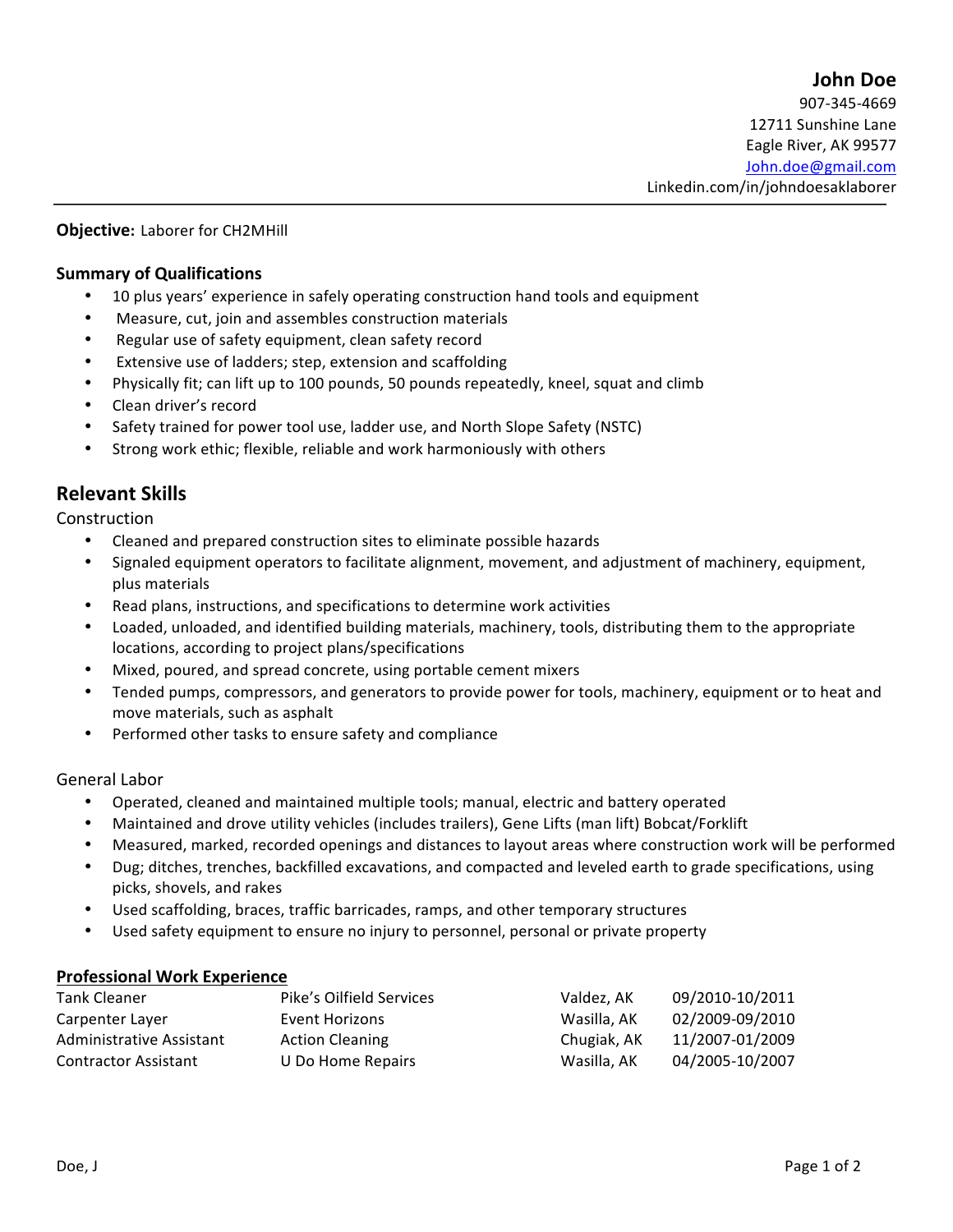# **John Doe** 907-345-4669 12711 Sunshine Lane Eagle River, AK 99577 John.doe@gmail.com Linkedin.com/in/johndoesaklaborer

## **Objective:** Laborer for CH2MHill

### **Summary of Qualifications**

- 10 plus years' experience in safely operating construction hand tools and equipment
- Measure, cut, join and assembles construction materials
- Regular use of safety equipment, clean safety record
- Extensive use of ladders; step, extension and scaffolding
- Physically fit; can lift up to 100 pounds, 50 pounds repeatedly, kneel, squat and climb
- Clean driver's record
- Safety trained for power tool use, ladder use, and North Slope Safety (NSTC)
- Strong work ethic; flexible, reliable and work harmoniously with others

# **Relevant Skills**

Construction

- Cleaned and prepared construction sites to eliminate possible hazards
- Signaled equipment operators to facilitate alignment, movement, and adjustment of machinery, equipment, plus materials
- Read plans, instructions, and specifications to determine work activities
- Loaded, unloaded, and identified building materials, machinery, tools, distributing them to the appropriate locations, according to project plans/specifications
- Mixed, poured, and spread concrete, using portable cement mixers
- Tended pumps, compressors, and generators to provide power for tools, machinery, equipment or to heat and move materials, such as asphalt
- Performed other tasks to ensure safety and compliance

### General Labor

- Operated, cleaned and maintained multiple tools; manual, electric and battery operated
- Maintained and drove utility vehicles (includes trailers), Gene Lifts (man lift) Bobcat/Forklift
- Measured, marked, recorded openings and distances to layout areas where construction work will be performed
- Dug; ditches, trenches, backfilled excavations, and compacted and leveled earth to grade specifications, using picks, shovels, and rakes
- Used scaffolding, braces, traffic barricades, ramps, and other temporary structures
- Used safety equipment to ensure no injury to personnel, personal or private property

### **Professional Work Experience**

| Tank Cleaner                | Pike's Oilfield Services | Valdez, AK  | 09/2010-10/2011 |
|-----------------------------|--------------------------|-------------|-----------------|
| Carpenter Layer             | Event Horizons           | Wasilla, AK | 02/2009-09/2010 |
| Administrative Assistant    | <b>Action Cleaning</b>   | Chugiak, AK | 11/2007-01/2009 |
| <b>Contractor Assistant</b> | U Do Home Repairs        | Wasilla, AK | 04/2005-10/2007 |